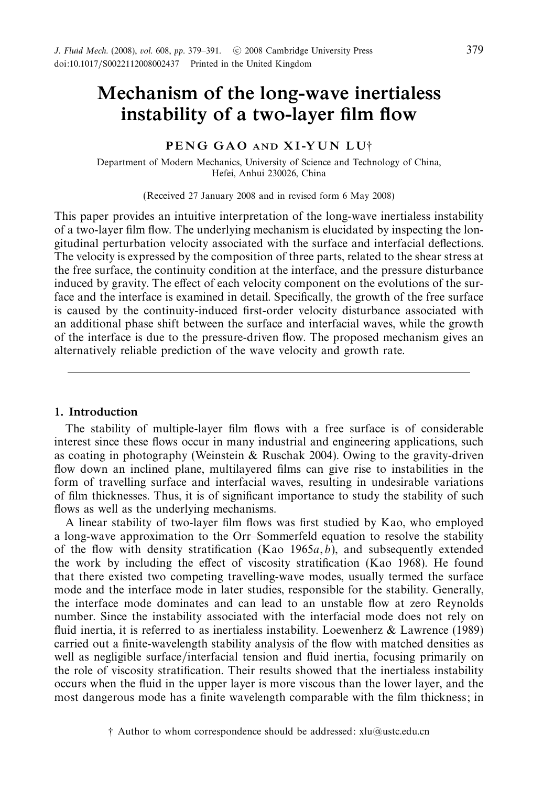# *Mechanism of the long-wave inertialess instability of a two-layer film flow*

# *PENG GAO AND X I -Y U N L U*†

Department of Modern Mechanics, University of Science and Technology of China, Hefei, Anhui 230026, China

(Received 27 January 2008 and in revised form 6 May 2008)

This paper provides an intuitive interpretation of the long-wave inertialess instability of a two-layer film flow. The underlying mechanism is elucidated by inspecting the longitudinal perturbation velocity associated with the surface and interfacial deflections. The velocity is expressed by the composition of three parts, related to the shear stress at the free surface, the continuity condition at the interface, and the pressure disturbance induced by gravity. The effect of each velocity component on the evolutions of the surface and the interface is examined in detail. Specifically, the growth of the free surface is caused by the continuity-induced first-order velocity disturbance associated with an additional phase shift between the surface and interfacial waves, while the growth of the interface is due to the pressure-driven flow. The proposed mechanism gives an alternatively reliable prediction of the wave velocity and growth rate.

## *1. Introduction*

The stability of multiple-layer film flows with a free surface is of considerable interest since these flows occur in many industrial and engineering applications, such as coating in photography (Weinstein & Ruschak 2004). Owing to the gravity-driven flow down an inclined plane, multilayered films can give rise to instabilities in the form of travelling surface and interfacial waves, resulting in undesirable variations of film thicknesses. Thus, it is of significant importance to study the stability of such flows as well as the underlying mechanisms.

A linear stability of two-layer film flows was first studied by Kao, who employed a long-wave approximation to the Orr–Sommerfeld equation to resolve the stability of the flow with density stratification (Kao 1965a, b), and subsequently extended the work by including the effect of viscosity stratification (Kao 1968). He found that there existed two competing travelling-wave modes, usually termed the surface mode and the interface mode in later studies, responsible for the stability. Generally, the interface mode dominates and can lead to an unstable flow at zero Reynolds number. Since the instability associated with the interfacial mode does not rely on fluid inertia, it is referred to as inertialess instability. Loewenherz  $&$  Lawrence (1989) carried out a finite-wavelength stability analysis of the flow with matched densities as well as negligible surface/interfacial tension and fluid inertia, focusing primarily on the role of viscosity stratification. Their results showed that the inertialess instability occurs when the fluid in the upper layer is more viscous than the lower layer, and the most dangerous mode has a finite wavelength comparable with the film thickness; in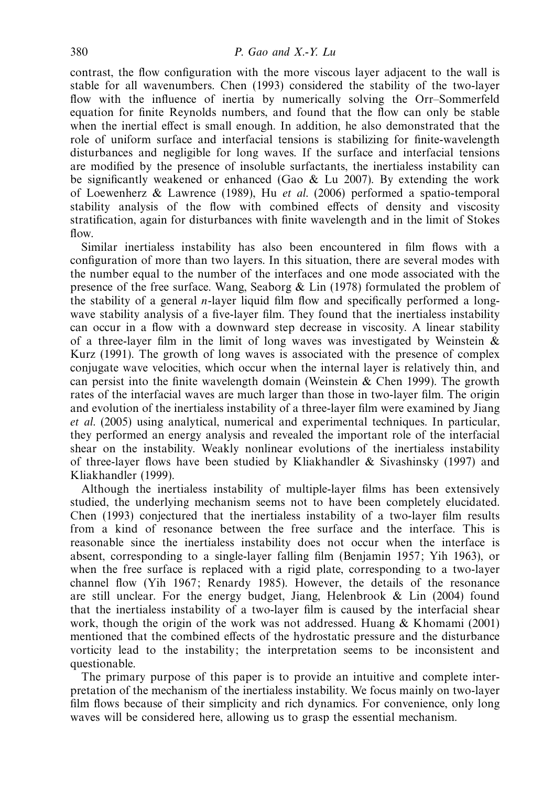contrast, the flow configuration with the more viscous layer adjacent to the wall is stable for all wavenumbers. Chen (1993) considered the stability of the two-layer flow with the influence of inertia by numerically solving the Orr–Sommerfeld equation for finite Reynolds numbers, and found that the flow can only be stable when the inertial effect is small enough. In addition, he also demonstrated that the role of uniform surface and interfacial tensions is stabilizing for finite-wavelength disturbances and negligible for long waves. If the surface and interfacial tensions are modified by the presence of insoluble surfactants, the inertialess instability can be significantly weakened or enhanced (Gao  $&$  Lu 2007). By extending the work of Loewenherz & Lawrence (1989), Hu *et al.* (2006) performed a spatio-temporal stability analysis of the flow with combined effects of density and viscosity stratification, again for disturbances with finite wavelength and in the limit of Stokes flow.

Similar inertialess instability has also been encountered in film flows with a configuration of more than two layers. In this situation, there are several modes with the number equal to the number of the interfaces and one mode associated with the presence of the free surface. Wang, Seaborg  $& Lin (1978)$  formulated the problem of the stability of a general *n*-layer liquid film flow and specifically performed a longwave stability analysis of a five-layer film. They found that the inertialess instability can occur in a flow with a downward step decrease in viscosity. A linear stability of a three-layer film in the limit of long waves was investigated by Weinstein  $\&$ Kurz (1991). The growth of long waves is associated with the presence of complex conjugate wave velocities, which occur when the internal layer is relatively thin, and can persist into the finite wavelength domain (Weinstein  $\&$  Chen 1999). The growth rates of the interfacial waves are much larger than those in two-layer film. The origin and evolution of the inertialess instability of a three-layer film were examined by Jiang et al. (2005) using analytical, numerical and experimental techniques. In particular, they performed an energy analysis and revealed the important role of the interfacial shear on the instability. Weakly nonlinear evolutions of the inertialess instability of three-layer flows have been studied by Kliakhandler  $\&$  Sivashinsky (1997) and Kliakhandler (1999).

Although the inertialess instability of multiple-layer films has been extensively studied, the underlying mechanism seems not to have been completely elucidated. Chen (1993) conjectured that the inertialess instability of a two-layer film results from a kind of resonance between the free surface and the interface. This is reasonable since the inertialess instability does not occur when the interface is absent, corresponding to a single-layer falling film (Benjamin 1957; Yih 1963), or when the free surface is replaced with a rigid plate, corresponding to a two-layer channel flow (Yih 1967; Renardy 1985). However, the details of the resonance are still unclear. For the energy budget, Jiang, Helenbrook  $\&$  Lin (2004) found that the inertialess instability of a two-layer film is caused by the interfacial shear work, though the origin of the work was not addressed. Huang  $&$  Khomami (2001) mentioned that the combined effects of the hydrostatic pressure and the disturbance vorticity lead to the instability; the interpretation seems to be inconsistent and questionable.

The primary purpose of this paper is to provide an intuitive and complete interpretation of the mechanism of the inertialess instability. We focus mainly on two-layer film flows because of their simplicity and rich dynamics. For convenience, only long waves will be considered here, allowing us to grasp the essential mechanism.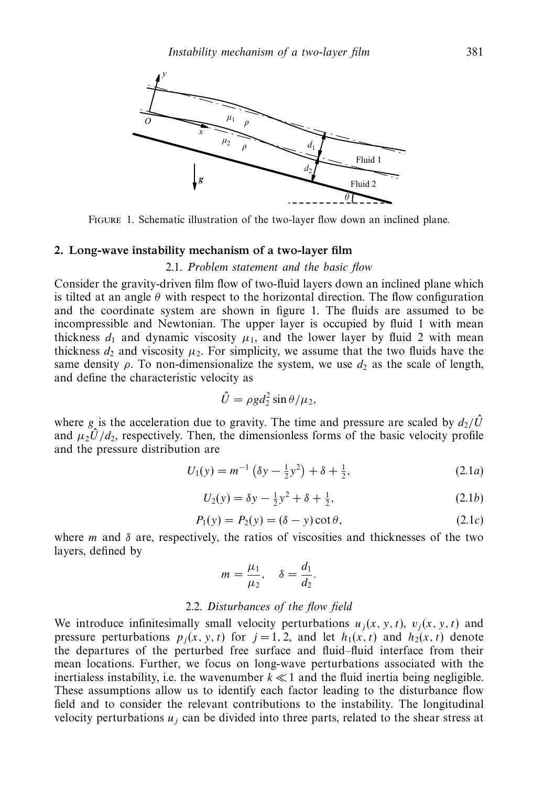

Figure 1. Schematic illustration of the two-layer flow down an inclined plane.

## *2. Long-wave instability mechanism of a two-layer film*

## 2.1. Problem statement and the basic flow

Consider the gravity-driven film flow of two-fluid layers down an inclined plane which is tilted at an angle  $\theta$  with respect to the horizontal direction. The flow configuration and the coordinate system are shown in figure 1. The fluids are assumed to be incompressible and Newtonian. The upper layer is occupied by fluid 1 with mean thickness  $d_1$  and dynamic viscosity  $\mu_1$ , and the lower layer by fluid 2 with mean thickness  $d_2$  and viscosity  $\mu_2$ . For simplicity, we assume that the two fluids have the same density  $\rho$ . To non-dimensionalize the system, we use  $d_2$  as the scale of length, and define the characteristic velocity as

$$
\hat{U} = \rho g d_2^2 \sin \theta / \mu_2,
$$

where *g* is the acceleration due to gravity. The time and pressure are scaled by  $d_2/\hat{U}$ and  $\mu_2 \hat{U}/d_2$ , respectively. Then, the dimensionless forms of the basic velocity profile and the pressure distribution are

$$
U_1(y) = m^{-1} \left( \delta y - \frac{1}{2} y^2 \right) + \delta + \frac{1}{2}, \tag{2.1a}
$$

$$
U_2(y) = \delta y - \frac{1}{2}y^2 + \delta + \frac{1}{2},\tag{2.1b}
$$

$$
P_1(y) = P_2(y) = (\delta - y)\cot\theta, \qquad (2.1c)
$$

where *m* and  $\delta$  are, respectively, the ratios of viscosities and thicknesses of the two layers, defined by

$$
m=\frac{\mu_1}{\mu_2}, \quad \delta=\frac{d_1}{d_2}.
$$

# 2.2. Disturbances of the flow field

We introduce infinitesimally small velocity perturbations  $u_j(x, y, t)$ ,  $v_j(x, y, t)$  and pressure perturbations  $p_i(x, y, t)$  for  $j = 1, 2$ , and let  $h_1(x, t)$  and  $h_2(x, t)$  denote the departures of the perturbed free surface and fluid–fluid interface from their mean locations. Further, we focus on long-wave perturbations associated with the inertialess instability, i.e. the wavenumber  $k \ll 1$  and the fluid inertia being negligible. These assumptions allow us to identify each factor leading to the disturbance flow field and to consider the relevant contributions to the instability. The longitudinal velocity perturbations  $u_i$  can be divided into three parts, related to the shear stress at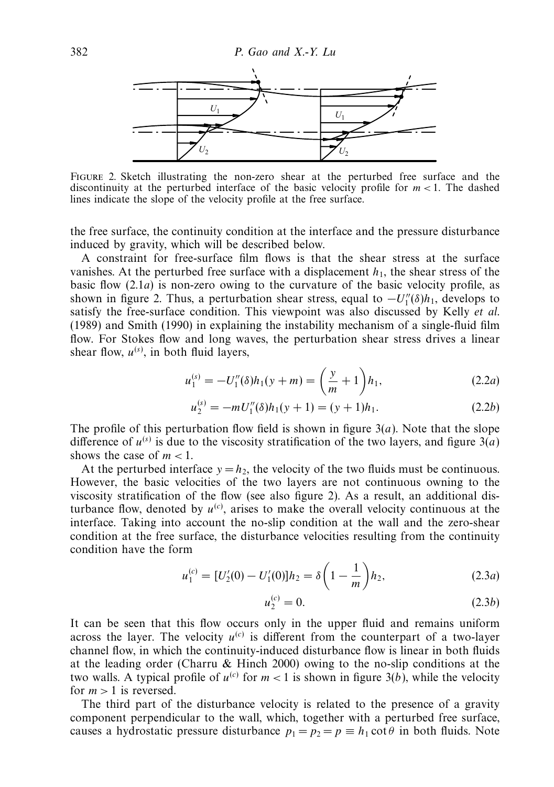

Figure 2. Sketch illustrating the non-zero shear at the perturbed free surface and the discontinuity at the perturbed interface of the basic velocity profile for  $m < 1$ . The dashed lines indicate the slope of the velocity profile at the free surface.

the free surface, the continuity condition at the interface and the pressure disturbance induced by gravity, which will be described below.

A constraint for free-surface film flows is that the shear stress at the surface vanishes. At the perturbed free surface with a displacement  $h_1$ , the shear stress of the basic flow  $(2.1a)$  is non-zero owing to the curvature of the basic velocity profile, as shown in figure 2. Thus, a perturbation shear stress, equal to  $-U_1''(\delta)h_1$ , develops to satisfy the free-surface condition. This viewpoint was also discussed by Kelly et al. (1989) and Smith (1990) in explaining the instability mechanism of a single-fluid film flow. For Stokes flow and long waves, the perturbation shear stress drives a linear shear flow,  $u^{(s)}$ , in both fluid layers,

$$
u_1^{(s)} = -U_1''(\delta)h_1(y+m) = \left(\frac{y}{m} + 1\right)h_1,\tag{2.2a}
$$

$$
u_2^{(s)} = -mU_1''(\delta)h_1(y+1) = (y+1)h_1.
$$
 (2.2b)

The profile of this perturbation flow field is shown in figure  $3(a)$ . Note that the slope difference of  $u^{(s)}$  is due to the viscosity stratification of the two layers, and figure  $3(a)$ shows the case of  $m < 1$ .

At the perturbed interface  $y = h_2$ , the velocity of the two fluids must be continuous. However, the basic velocities of the two layers are not continuous owning to the viscosity stratification of the flow (see also figure 2). As a result, an additional disturbance flow, denoted by  $u^{(c)}$ , arises to make the overall velocity continuous at the interface. Taking into account the no-slip condition at the wall and the zero-shear condition at the free surface, the disturbance velocities resulting from the continuity condition have the form

$$
u_1^{(c)} = [U_2'(0) - U_1'(0)]h_2 = \delta \left(1 - \frac{1}{m}\right)h_2,\tag{2.3a}
$$

$$
u_2^{(c)} = 0.\t(2.3b)
$$

It can be seen that this flow occurs only in the upper fluid and remains uniform across the layer. The velocity  $u^{(c)}$  is different from the counterpart of a two-layer channel flow, in which the continuity-induced disturbance flow is linear in both fluids at the leading order (Charru & Hinch 2000) owing to the no-slip conditions at the two walls. A typical profile of  $u^{(c)}$  for  $m < 1$  is shown in figure 3(b), while the velocity for  $m > 1$  is reversed.

The third part of the disturbance velocity is related to the presence of a gravity component perpendicular to the wall, which, together with a perturbed free surface, causes a hydrostatic pressure disturbance  $p_1 = p_2 = p \equiv h_1 \cot \theta$  in both fluids. Note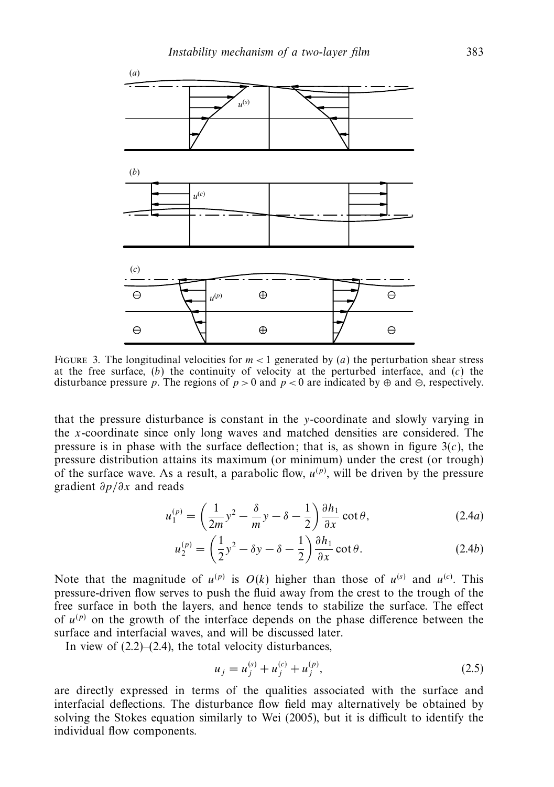

FIGURE 3. The longitudinal velocities for  $m < 1$  generated by (*a*) the perturbation shear stress at the free surface,  $(b)$  the continuity of velocity at the perturbed interface, and  $(c)$  the disturbance pressure *p*. The regions of  $p > 0$  and  $p < 0$  are indicated by  $\oplus$  and  $\ominus$ , respectively.

that the pressure disturbance is constant in the *y*-coordinate and slowly varying in the *x*-coordinate since only long waves and matched densities are considered. The pressure is in phase with the surface deflection; that is, as shown in figure  $3(c)$ , the pressure distribution attains its maximum (or minimum) under the crest (or trough) of the surface wave. As a result, a parabolic flow,  $u^{(p)}$ , will be driven by the pressure gradient *∂p/∂x* and reads

$$
u_1^{(p)} = \left(\frac{1}{2m}y^2 - \frac{\delta}{m}y - \delta - \frac{1}{2}\right)\frac{\partial h_1}{\partial x}\cot\theta,\tag{2.4a}
$$

$$
u_2^{(p)} = \left(\frac{1}{2}y^2 - \delta y - \delta - \frac{1}{2}\right)\frac{\partial h_1}{\partial x}\cot\theta.
$$
 (2.4b)

Note that the magnitude of  $u^{(p)}$  is  $O(k)$  higher than those of  $u^{(s)}$  and  $u^{(c)}$ . This pressure-driven flow serves to push the fluid away from the crest to the trough of the free surface in both the layers, and hence tends to stabilize the surface. The effect of  $u^{(p)}$  on the growth of the interface depends on the phase difference between the surface and interfacial waves, and will be discussed later.

In view of  $(2.2)$ – $(2.4)$ , the total velocity disturbances,

$$
u_j = u_j^{(s)} + u_j^{(c)} + u_j^{(p)},
$$
\n(2.5)

are directly expressed in terms of the qualities associated with the surface and interfacial deflections. The disturbance flow field may alternatively be obtained by solving the Stokes equation similarly to Wei (2005), but it is difficult to identify the individual flow components.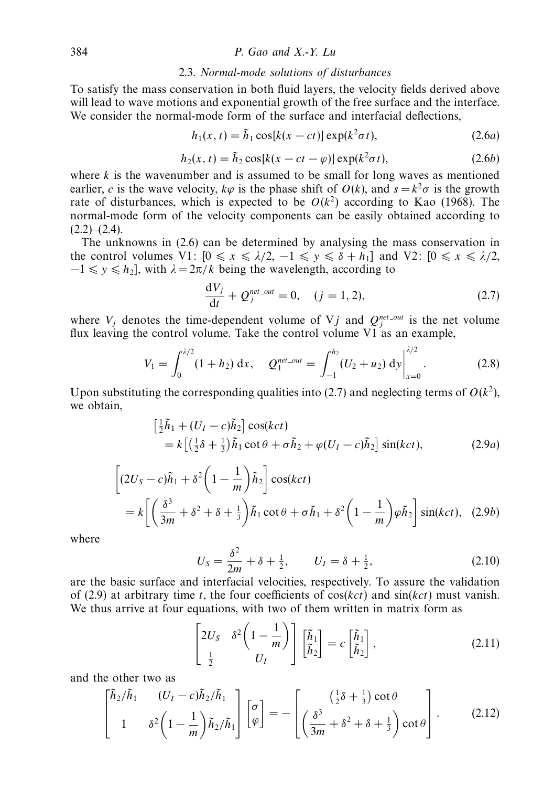## $384$  P. Gao and X.-Y. Lu

## 2.3. Normal-mode solutions of disturbances

To satisfy the mass conservation in both fluid layers, the velocity fields derived above will lead to wave motions and exponential growth of the free surface and the interface. We consider the normal-mode form of the surface and interfacial deflections,

$$
h_1(x, t) = \tilde{h}_1 \cos[k(x - ct)] \exp(k^2 \sigma t), \qquad (2.6a)
$$

$$
h_2(x, t) = \tilde{h}_2 \cos[k(x - ct - \varphi)] \exp(k^2 \sigma t), \qquad (2.6b)
$$

where *k* is the wavenumber and is assumed to be small for long waves as mentioned earlier, *c* is the wave velocity,  $k\varphi$  is the phase shift of  $O(k)$ , and  $s = k^2\sigma$  is the growth rate of disturbances, which is expected to be  $O(k^2)$  according to Kao (1968). The normal-mode form of the velocity components can be easily obtained according to  $(2.2)–(2.4)$ .

The unknowns in (2.6) can be determined by analysing the mass conservation in the control volumes V1:  $[0 \le x \le \lambda/2, -1 \le y \le \delta + h_1]$  and V2:  $[0 \le x \le \lambda/2,$  $-1 \leq y \leq h_2$ , with  $\lambda = 2\pi/k$  being the wavelength, according to

$$
\frac{dV_j}{dt} + Q_j^{net\_out} = 0, \quad (j = 1, 2), \tag{2.7}
$$

where  $V_i$  denotes the time-dependent volume of  $V_j$  and  $Q_i^{net\_out}$  is the net volume flux leaving the control volume. Take the control volume V1 as an example,

$$
V_1 = \int_0^{\lambda/2} (1 + h_2) \, dx, \quad Q_1^{net\_out} = \int_{-1}^{h_2} (U_2 + u_2) \, dy \Big|_{x=0}^{\lambda/2}.
$$
 (2.8)

Upon substituting the corresponding qualities into (2.7) and neglecting terms of  $O(k^2)$ , we obtain,

$$
\begin{aligned} \left[\frac{1}{2}\tilde{h}_1 + (U_I - c)\tilde{h}_2\right] \cos(kct) \\ &= k\left[\left(\frac{1}{2}\delta + \frac{1}{3}\right)\tilde{h}_1 \cot \theta + \sigma \tilde{h}_2 + \varphi(U_I - c)\tilde{h}_2\right] \sin(kct), \end{aligned} \tag{2.9a}
$$

$$
\begin{aligned} &\left[ (2U_S - c)\tilde{h}_1 + \delta^2 \left( 1 - \frac{1}{m} \right) \tilde{h}_2 \right] \cos(kct) \\ &= k \left[ \left( \frac{\delta^3}{3m} + \delta^2 + \delta + \frac{1}{3} \right) \tilde{h}_1 \cot \theta + \sigma \tilde{h}_1 + \delta^2 \left( 1 - \frac{1}{m} \right) \varphi \tilde{h}_2 \right] \sin(kct), \quad (2.9b) \end{aligned}
$$

where

$$
U_S = \frac{\delta^2}{2m} + \delta + \frac{1}{2}, \qquad U_I = \delta + \frac{1}{2}, \tag{2.10}
$$

are the basic surface and interfacial velocities, respectively. To assure the validation of (2.9) at arbitrary time *t*, the four coefficients of cos(*kct*) and sin(*kct*) must vanish. We thus arrive at four equations, with two of them written in matrix form as

$$
\begin{bmatrix} 2U_S & \delta^2 \left(1 - \frac{1}{m}\right) \\ \frac{1}{2} & U_I \end{bmatrix} \begin{bmatrix} \tilde{h}_1 \\ \tilde{h}_2 \end{bmatrix} = c \begin{bmatrix} \tilde{h}_1 \\ \tilde{h}_2 \end{bmatrix},
$$
(2.11)

and the other two as

$$
\begin{bmatrix} \tilde{h}_2/\tilde{h}_1 & (U_I - c)\tilde{h}_2/\tilde{h}_1 \\ 1 & \delta^2 \left(1 - \frac{1}{m}\right) \tilde{h}_2/\tilde{h}_1 \end{bmatrix} \begin{bmatrix} \sigma \\ \varphi \end{bmatrix} = - \left[ \left( \frac{\delta^3}{3m} + \delta^2 + \delta + \frac{1}{3} \right) \cot \theta \right].
$$
 (2.12)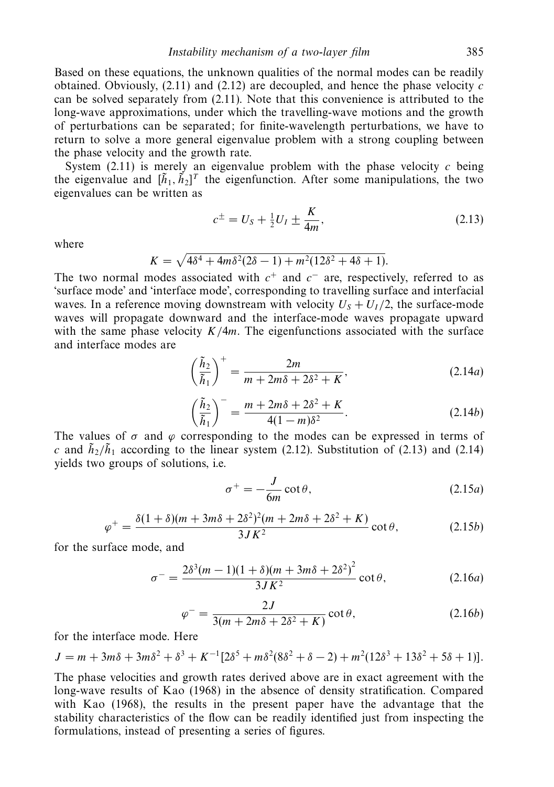Based on these equations, the unknown qualities of the normal modes can be readily obtained. Obviously, (2.11) and (2.12) are decoupled, and hence the phase velocity *c* can be solved separately from (2.11). Note that this convenience is attributed to the long-wave approximations, under which the travelling-wave motions and the growth of perturbations can be separated; for finite-wavelength perturbations, we have to return to solve a more general eigenvalue problem with a strong coupling between the phase velocity and the growth rate.

System  $(2.11)$  is merely an eigenvalue problem with the phase velocity  $c$  being the eigenvalue and  $[\tilde{h}_1, \tilde{h}_2]^T$  the eigenfunction. After some manipulations, the two eigenvalues can be written as

$$
c^{\pm} = U_S + \frac{1}{2}U_I \pm \frac{K}{4m},\tag{2.13}
$$

where

$$
K = \sqrt{4\delta^4 + 4m\delta^2(2\delta - 1) + m^2(12\delta^2 + 4\delta + 1)}.
$$

The two normal modes associated with *c*<sup>+</sup> and *c*<sup>−</sup> are, respectively, referred to as 'surface mode' and 'interface mode', corresponding to travelling surface and interfacial waves. In a reference moving downstream with velocity  $U_s + U_I/2$ , the surface-mode waves will propagate downward and the interface-mode waves propagate upward with the same phase velocity  $K/4m$ . The eigenfunctions associated with the surface and interface modes are

$$
\left(\frac{\tilde{h}_2}{\tilde{h}_1}\right)^+ = \frac{2m}{m + 2m\delta + 2\delta^2 + K},\tag{2.14a}
$$

$$
\left(\frac{\tilde{h}_2}{\tilde{h}_1}\right)^{-} = \frac{m + 2m\delta + 2\delta^2 + K}{4(1-m)\delta^2}.
$$
\n(2.14b)

The values of  $\sigma$  and  $\varphi$  corresponding to the modes can be expressed in terms of *c* and  $\tilde{h}_2/\tilde{h}_1$  according to the linear system (2.12). Substitution of (2.13) and (2.14) yields two groups of solutions, i.e.

$$
\sigma^+ = -\frac{J}{6m} \cot \theta, \qquad (2.15a)
$$

$$
\varphi^+ = \frac{\delta(1+\delta)(m+3m\delta+2\delta^2)^2(m+2m\delta+2\delta^2+K)}{3JK^2}\cot\theta,\tag{2.15b}
$$

for the surface mode, and

$$
\sigma^{-} = \frac{2\delta^3(m-1)(1+\delta)(m+3m\delta+2\delta^2)^2}{3JK^2}\cot\theta, \qquad (2.16a)
$$

$$
\varphi^{-} = \frac{2J}{3(m + 2m\delta + 2\delta^2 + K)} \cot \theta, \qquad (2.16b)
$$

for the interface mode. Here

$$
J = m + 3m\delta + 3m\delta^2 + \delta^3 + K^{-1}[2\delta^5 + m\delta^2(8\delta^2 + \delta - 2) + m^2(12\delta^3 + 13\delta^2 + 5\delta + 1)].
$$

The phase velocities and growth rates derived above are in exact agreement with the long-wave results of Kao (1968) in the absence of density stratification. Compared with Kao (1968), the results in the present paper have the advantage that the stability characteristics of the flow can be readily identified just from inspecting the formulations, instead of presenting a series of figures.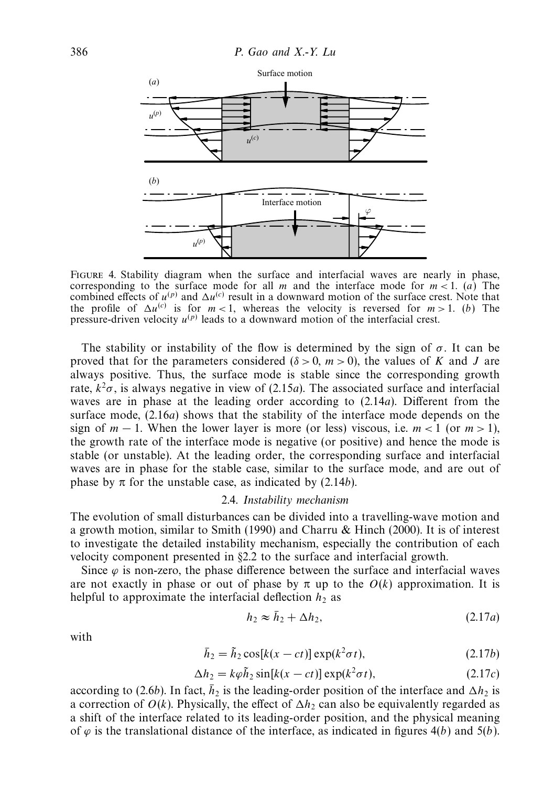

Figure 4. Stability diagram when the surface and interfacial waves are nearly in phase, corresponding to the surface mode for all *m* and the interface mode for  $m < 1$ . (a) The combined effects of  $u^{(p)}$  and  $\Delta u^{(c)}$  result in a downward motion of the surface crest. Note that the profile of  $\Delta u^{(c)}$  is for  $m < 1$ , whereas the velocity is reversed for  $m > 1$ . (b) The pressure-driven velocity  $u^{(p)}$  leads to a downward motion of the interfacial crest.

The stability or instability of the flow is determined by the sign of  $\sigma$ . It can be proved that for the parameters considered ( $\delta > 0$ ,  $m > 0$ ), the values of *K* and *J* are always positive. Thus, the surface mode is stable since the corresponding growth rate,  $k^2\sigma$ , is always negative in view of (2.15*a*). The associated surface and interfacial waves are in phase at the leading order according to (2.14a). Different from the surface mode, (2.16a) shows that the stability of the interface mode depends on the sign of  $m - 1$ . When the lower layer is more (or less) viscous, i.e.  $m < 1$  (or  $m > 1$ ), the growth rate of the interface mode is negative (or positive) and hence the mode is stable (or unstable). At the leading order, the corresponding surface and interfacial waves are in phase for the stable case, similar to the surface mode, and are out of phase by π for the unstable case, as indicated by  $(2.14b)$ .

### 2.4. Instability mechanism

The evolution of small disturbances can be divided into a travelling-wave motion and a growth motion, similar to Smith (1990) and Charru & Hinch (2000). It is of interest to investigate the detailed instability mechanism, especially the contribution of each velocity component presented in §2.2 to the surface and interfacial growth.

Since  $\varphi$  is non-zero, the phase difference between the surface and interfacial waves are not exactly in phase or out of phase by  $\pi$  up to the  $O(k)$  approximation. It is helpful to approximate the interfacial deflection  $h_2$  as

$$
h_2 \approx \bar{h}_2 + \Delta h_2,\tag{2.17a}
$$

with

$$
\bar{h}_2 = \tilde{h}_2 \cos[k(x - ct)] \exp(k^2 \sigma t), \qquad (2.17b)
$$

$$
\Delta h_2 = k\varphi \tilde{h}_2 \sin[k(x - ct)] \exp(k^2 \sigma t), \qquad (2.17c)
$$

according to (2.6b). In fact,  $\bar{h}_2$  is the leading-order position of the interface and  $\Delta h_2$  is a correction of  $O(k)$ . Physically, the effect of  $\Delta h_2$  can also be equivalently regarded as a shift of the interface related to its leading-order position, and the physical meaning of  $\varphi$  is the translational distance of the interface, as indicated in figures 4(b) and 5(b).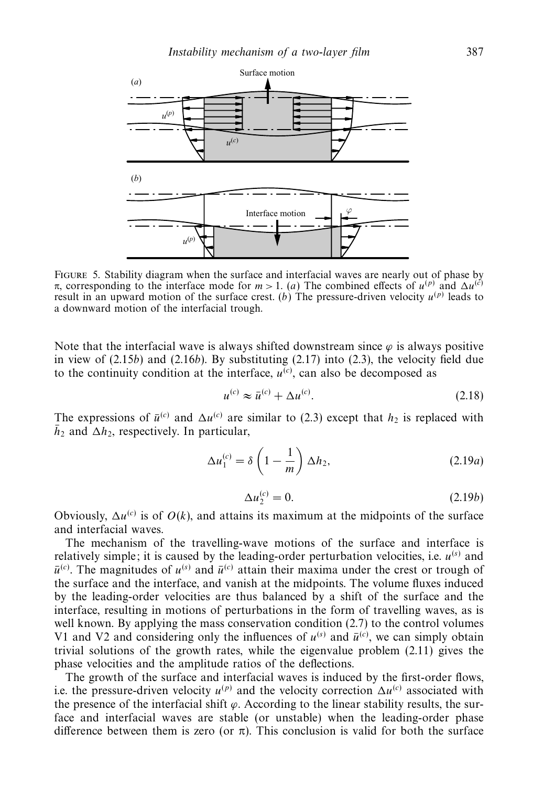

Figure 5. Stability diagram when the surface and interfacial waves are nearly out of phase by π, corresponding to the interface mode for  $m > 1$ . (a) The combined effects of  $u^{(p)}$  and  $Δu^{(c)}$ result in an upward motion of the surface crest. (b) The pressure-driven velocity  $u^{(p)}$  leads to a downward motion of the interfacial trough.

Note that the interfacial wave is always shifted downstream since  $\varphi$  is always positive in view of  $(2.15b)$  and  $(2.16b)$ . By substituting  $(2.17)$  into  $(2.3)$ , the velocity field due to the continuity condition at the interface,  $u^{(c)}$ , can also be decomposed as

$$
u^{(c)} \approx \bar{u}^{(c)} + \Delta u^{(c)}.\tag{2.18}
$$

The expressions of  $\bar{u}^{(c)}$  and  $\Delta u^{(c)}$  are similar to (2.3) except that  $h_2$  is replaced with  $\bar{h}_2$  and  $\Delta h_2$ , respectively. In particular,

$$
\Delta u_1^{(c)} = \delta \left( 1 - \frac{1}{m} \right) \Delta h_2, \tag{2.19a}
$$

$$
\Delta u_2^{(c)} = 0.\tag{2.19b}
$$

Obviously,  $\Delta u^{(c)}$  is of  $O(k)$ , and attains its maximum at the midpoints of the surface and interfacial waves.

The mechanism of the travelling-wave motions of the surface and interface is relatively simple; it is caused by the leading-order perturbation velocities, i.e.  $u^{(s)}$  and  $\bar{u}^{(c)}$ . The magnitudes of  $u^{(s)}$  and  $\bar{u}^{(c)}$  attain their maxima under the crest or trough of the surface and the interface, and vanish at the midpoints. The volume fluxes induced by the leading-order velocities are thus balanced by a shift of the surface and the interface, resulting in motions of perturbations in the form of travelling waves, as is well known. By applying the mass conservation condition (2.7) to the control volumes V1 and V2 and considering only the influences of  $u^{(s)}$  and  $\bar{u}^{(c)}$ , we can simply obtain trivial solutions of the growth rates, while the eigenvalue problem (2.11) gives the phase velocities and the amplitude ratios of the deflections.

The growth of the surface and interfacial waves is induced by the first-order flows, i.e. the pressure-driven velocity  $u^{(p)}$  and the velocity correction  $\Delta u^{(c)}$  associated with the presence of the interfacial shift *ϕ*. According to the linear stability results, the surface and interfacial waves are stable (or unstable) when the leading-order phase difference between them is zero (or  $\pi$ ). This conclusion is valid for both the surface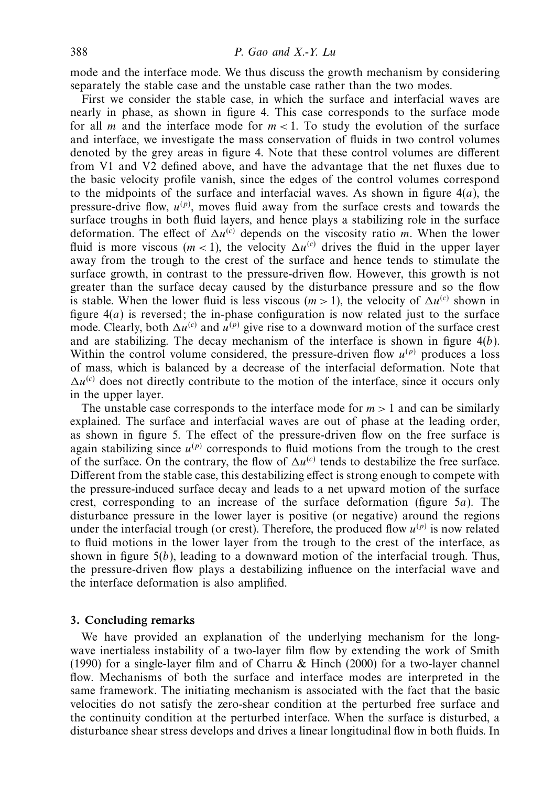mode and the interface mode. We thus discuss the growth mechanism by considering separately the stable case and the unstable case rather than the two modes.

First we consider the stable case, in which the surface and interfacial waves are nearly in phase, as shown in figure 4. This case corresponds to the surface mode for all  $m$  and the interface mode for  $m < 1$ . To study the evolution of the surface and interface, we investigate the mass conservation of fluids in two control volumes denoted by the grey areas in figure 4. Note that these control volumes are different from V1 and V2 defined above, and have the advantage that the net fluxes due to the basic velocity profile vanish, since the edges of the control volumes correspond to the midpoints of the surface and interfacial waves. As shown in figure  $4(a)$ , the pressure-drive flow,  $u^{(p)}$ , moves fluid away from the surface crests and towards the surface troughs in both fluid layers, and hence plays a stabilizing role in the surface deformation. The effect of  $\Delta u^{(c)}$  depends on the viscosity ratio *m*. When the lower fluid is more viscous ( $m < 1$ ), the velocity  $\Delta u^{(c)}$  drives the fluid in the upper layer away from the trough to the crest of the surface and hence tends to stimulate the surface growth, in contrast to the pressure-driven flow. However, this growth is not greater than the surface decay caused by the disturbance pressure and so the flow is stable. When the lower fluid is less viscous  $(m > 1)$ , the velocity of  $\Delta u^{(c)}$  shown in figure  $4(a)$  is reversed; the in-phase configuration is now related just to the surface mode. Clearly, both  $\Delta u^{(c)}$  and  $u^{(p)}$  give rise to a downward motion of the surface crest and are stabilizing. The decay mechanism of the interface is shown in figure  $4(b)$ . Within the control volume considered, the pressure-driven flow  $u^{(p)}$  produces a loss of mass, which is balanced by a decrease of the interfacial deformation. Note that  $\Delta u^{(c)}$  does not directly contribute to the motion of the interface, since it occurs only in the upper layer.

The unstable case corresponds to the interface mode for  $m > 1$  and can be similarly explained. The surface and interfacial waves are out of phase at the leading order, as shown in figure 5. The effect of the pressure-driven flow on the free surface is again stabilizing since  $u^{(p)}$  corresponds to fluid motions from the trough to the crest of the surface. On the contrary, the flow of  $\Delta u^{(c)}$  tends to destabilize the free surface. Different from the stable case, this destabilizing effect is strong enough to compete with the pressure-induced surface decay and leads to a net upward motion of the surface crest, corresponding to an increase of the surface deformation (figure 5a). The disturbance pressure in the lower layer is positive (or negative) around the regions under the interfacial trough (or crest). Therefore, the produced flow  $u^{(p)}$  is now related to fluid motions in the lower layer from the trough to the crest of the interface, as shown in figure  $5(b)$ , leading to a downward motion of the interfacial trough. Thus, the pressure-driven flow plays a destabilizing influence on the interfacial wave and the interface deformation is also amplified.

# *3. Concluding remarks*

We have provided an explanation of the underlying mechanism for the longwave inertialess instability of a two-layer film flow by extending the work of Smith (1990) for a single-layer film and of Charru  $&$  Hinch (2000) for a two-layer channel flow. Mechanisms of both the surface and interface modes are interpreted in the same framework. The initiating mechanism is associated with the fact that the basic velocities do not satisfy the zero-shear condition at the perturbed free surface and the continuity condition at the perturbed interface. When the surface is disturbed, a disturbance shear stress develops and drives a linear longitudinal flow in both fluids. In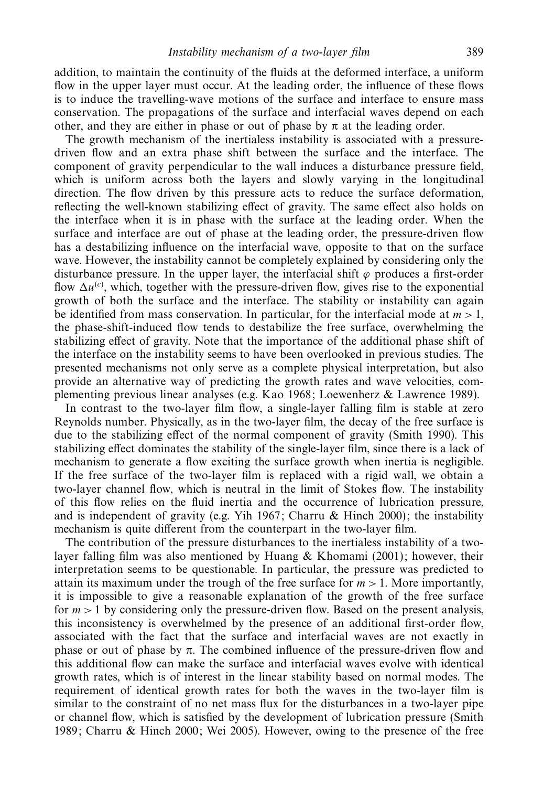addition, to maintain the continuity of the fluids at the deformed interface, a uniform flow in the upper layer must occur. At the leading order, the influence of these flows is to induce the travelling-wave motions of the surface and interface to ensure mass conservation. The propagations of the surface and interfacial waves depend on each other, and they are either in phase or out of phase by  $\pi$  at the leading order.

The growth mechanism of the inertialess instability is associated with a pressuredriven flow and an extra phase shift between the surface and the interface. The component of gravity perpendicular to the wall induces a disturbance pressure field, which is uniform across both the layers and slowly varying in the longitudinal direction. The flow driven by this pressure acts to reduce the surface deformation, reflecting the well-known stabilizing effect of gravity. The same effect also holds on the interface when it is in phase with the surface at the leading order. When the surface and interface are out of phase at the leading order, the pressure-driven flow has a destabilizing influence on the interfacial wave, opposite to that on the surface wave. However, the instability cannot be completely explained by considering only the disturbance pressure. In the upper layer, the interfacial shift  $\varphi$  produces a first-order flow  $\Delta u^{(c)}$ , which, together with the pressure-driven flow, gives rise to the exponential growth of both the surface and the interface. The stability or instability can again be identified from mass conservation. In particular, for the interfacial mode at  $m > 1$ , the phase-shift-induced flow tends to destabilize the free surface, overwhelming the stabilizing effect of gravity. Note that the importance of the additional phase shift of the interface on the instability seems to have been overlooked in previous studies. The presented mechanisms not only serve as a complete physical interpretation, but also provide an alternative way of predicting the growth rates and wave velocities, complementing previous linear analyses (e.g. Kao 1968; Loewenherz & Lawrence 1989).

In contrast to the two-layer film flow, a single-layer falling film is stable at zero Reynolds number. Physically, as in the two-layer film, the decay of the free surface is due to the stabilizing effect of the normal component of gravity (Smith 1990). This stabilizing effect dominates the stability of the single-layer film, since there is a lack of mechanism to generate a flow exciting the surface growth when inertia is negligible. If the free surface of the two-layer film is replaced with a rigid wall, we obtain a two-layer channel flow, which is neutral in the limit of Stokes flow. The instability of this flow relies on the fluid inertia and the occurrence of lubrication pressure, and is independent of gravity (e.g. Yih 1967; Charru & Hinch 2000); the instability mechanism is quite different from the counterpart in the two-layer film.

The contribution of the pressure disturbances to the inertialess instability of a twolayer falling film was also mentioned by Huang  $\&$  Khomami (2001); however, their interpretation seems to be questionable. In particular, the pressure was predicted to attain its maximum under the trough of the free surface for  $m > 1$ . More importantly, it is impossible to give a reasonable explanation of the growth of the free surface for  $m > 1$  by considering only the pressure-driven flow. Based on the present analysis, this inconsistency is overwhelmed by the presence of an additional first-order flow, associated with the fact that the surface and interfacial waves are not exactly in phase or out of phase by  $\pi$ . The combined influence of the pressure-driven flow and this additional flow can make the surface and interfacial waves evolve with identical growth rates, which is of interest in the linear stability based on normal modes. The requirement of identical growth rates for both the waves in the two-layer film is similar to the constraint of no net mass flux for the disturbances in a two-layer pipe or channel flow, which is satisfied by the development of lubrication pressure (Smith 1989; Charru & Hinch 2000; Wei 2005). However, owing to the presence of the free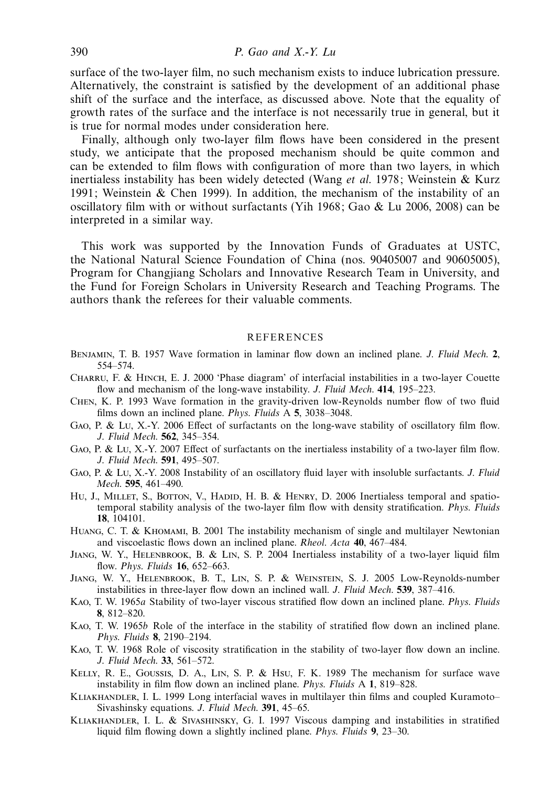surface of the two-layer film, no such mechanism exists to induce lubrication pressure. Alternatively, the constraint is satisfied by the development of an additional phase shift of the surface and the interface, as discussed above. Note that the equality of growth rates of the surface and the interface is not necessarily true in general, but it is true for normal modes under consideration here.

Finally, although only two-layer film flows have been considered in the present study, we anticipate that the proposed mechanism should be quite common and can be extended to film flows with configuration of more than two layers, in which inertialess instability has been widely detected (Wang *et al.* 1978; Weinstein  $\&$  Kurz 1991; Weinstein & Chen 1999). In addition, the mechanism of the instability of an oscillatory film with or without surfactants (Yih 1968; Gao & Lu 2006, 2008) can be interpreted in a similar way.

This work was supported by the Innovation Funds of Graduates at USTC, the National Natural Science Foundation of China (nos. 90405007 and 90605005), Program for Changjiang Scholars and Innovative Research Team in University, and the Fund for Foreign Scholars in University Research and Teaching Programs. The authors thank the referees for their valuable comments.

#### REFERENCES

- Benjamin, T. B. 1957 Wave formation in laminar flow down an inclined plane. J. Fluid Mech. **2**, 554–574.
- Charru, F. & Hinch, E. J. 2000 'Phase diagram' of interfacial instabilities in a two-layer Couette flow and mechanism of the long-wave instability. J. Fluid Mech. **414**, 195–223.
- Chen, K. P. 1993 Wave formation in the gravity-driven low-Reynolds number flow of two fluid films down an inclined plane. Phys. Fluids A **5**, 3038–3048.
- GAO, P. & Lu, X.-Y. 2006 Effect of surfactants on the long-wave stability of oscillatory film flow. J. Fluid Mech. **562**, 345–354.
- Gao, P. & Lu, X.-Y. 2007 Effect of surfactants on the inertialess instability of a two-layer film flow. J. Fluid Mech. **591**, 495–507.
- Gao, P. & Lu, X.-Y. 2008 Instability of an oscillatory fluid layer with insoluble surfactants. J. Fluid Mech. **595**, 461–490.
- Hu, J., MILLET, S., BOTTON, V., HADID, H. B. & HENRY, D. 2006 Inertialess temporal and spatiotemporal stability analysis of the two-layer film flow with density stratification. Phys. Fluids **18**, 104101.
- HUANG, C. T. & KHOMAMI, B. 2001 The instability mechanism of single and multilayer Newtonian and viscoelastic flows down an inclined plane. Rheol. Acta **40**, 467–484.
- Jiang, W. Y., Helenbrook, B. & Lin, S. P. 2004 Inertialess instability of a two-layer liquid film flow. Phys. Fluids **16**, 652–663.
- Jiang, W. Y., Helenbrook, B. T., Lin, S. P. & Weinstein, S. J. 2005 Low-Reynolds-number instabilities in three-layer flow down an inclined wall. J. Fluid Mech. **539**, 387–416.
- Kao, T. W. 1965a Stability of two-layer viscous stratified flow down an inclined plane. Phys. Fluids **8**, 812–820.
- Kao, T. W. 1965b Role of the interface in the stability of stratified flow down an inclined plane. Phys. Fluids **8**, 2190–2194.
- Kao, T. W. 1968 Role of viscosity stratification in the stability of two-layer flow down an incline. J. Fluid Mech. **33**, 561–572.
- Kelly, R. E., Goussis, D. A., Lin, S. P. & Hsu, F. K. 1989 The mechanism for surface wave instability in film flow down an inclined plane. Phys. Fluids A **1**, 819–828.
- KLIAKHANDLER, I. L. 1999 Long interfacial waves in multilayer thin films and coupled Kuramoto– Sivashinsky equations. J. Fluid Mech. **391**, 45–65.
- Kliakhandler, I. L. & Sivashinsky, G. I. 1997 Viscous damping and instabilities in stratified liquid film flowing down a slightly inclined plane. Phys. Fluids **9**, 23–30.